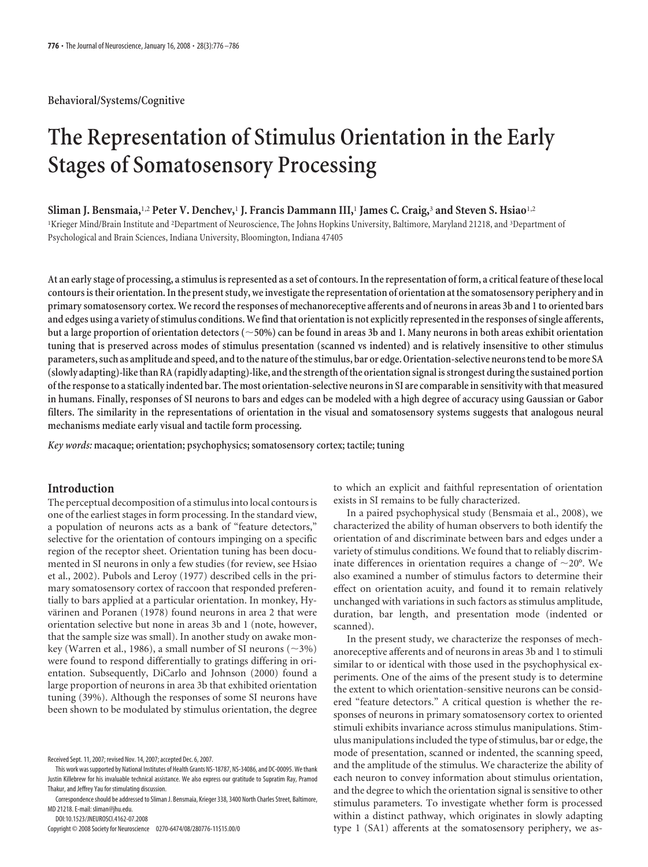# **Behavioral/Systems/Cognitive**

# **The Representation of Stimulus Orientation in the Early Stages of Somatosensory Processing**

# **Sliman J. Bensmaia,**1,2 **Peter V. Denchev,**<sup>1</sup> **J. Francis Dammann III,**<sup>1</sup> **James C. Craig,**<sup>3</sup> **and Steven S. Hsiao**1,2

<sup>1</sup>Krieger Mind/Brain Institute and <sup>2</sup>Department of Neuroscience, The Johns Hopkins University, Baltimore, Maryland 21218, and <sup>3</sup>Department of Psychological and Brain Sciences, Indiana University, Bloomington, Indiana 47405

**At an early stage of processing, a stimulus is represented as a set of contours. In the representation of form, a critical feature of these local contours istheir orientation. Inthe present study, we investigatethe representation of orientation atthe somatosensory periphery and in primary somatosensory cortex. We record the responses of mechanoreceptive afferents and of neurons in areas 3b and 1 to oriented bars and edges using a variety of stimulus conditions. Wefindthat orientation is not explicitly represented inthe responses of single afferents, but a large proportion of orientation detectors (50%) can be found in areas 3b and 1. Many neurons in both areas exhibit orientation tuning that is preserved across modes of stimulus presentation (scanned vs indented) and is relatively insensitive to other stimulus parameters, such as amplitude and speed, andtothe nature ofthe stimulus, bar or edge. Orientation-selective neuronstendto be more SA (slowly adapting)-likethan RA (rapidly adapting)-like, andthe strength ofthe orientation signal is strongest duringthe sustained portion ofthe responseto a statically indented bar. The most orientation-selective neurons in SI are comparable in sensitivity withthat measured in humans. Finally, responses of SI neurons to bars and edges can be modeled with a high degree of accuracy using Gaussian or Gabor filters. The similarity in the representations of orientation in the visual and somatosensory systems suggests that analogous neural mechanisms mediate early visual and tactile form processing.**

*Key words:* **macaque; orientation; psychophysics; somatosensory cortex; tactile; tuning**

# **Introduction**

The perceptual decomposition of a stimulus into local contours is one of the earliest stages in form processing. In the standard view, a population of neurons acts as a bank of "feature detectors," selective for the orientation of contours impinging on a specific region of the receptor sheet. Orientation tuning has been documented in SI neurons in only a few studies (for review, see Hsiao et al., 2002). Pubols and Leroy (1977) described cells in the primary somatosensory cortex of raccoon that responded preferentially to bars applied at a particular orientation. In monkey, Hyvärinen and Poranen (1978) found neurons in area 2 that were orientation selective but none in areas 3b and 1 (note, however, that the sample size was small). In another study on awake monkey (Warren et al., 1986), a small number of SI neurons  $(\sim 3\%)$ were found to respond differentially to gratings differing in orientation. Subsequently, DiCarlo and Johnson (2000) found a large proportion of neurons in area 3b that exhibited orientation tuning (39%). Although the responses of some SI neurons have been shown to be modulated by stimulus orientation, the degree

DOI:10.1523/JNEUROSCI.4162-07.2008

to which an explicit and faithful representation of orientation exists in SI remains to be fully characterized.

In a paired psychophysical study (Bensmaia et al., 2008), we characterized the ability of human observers to both identify the orientation of and discriminate between bars and edges under a variety of stimulus conditions. We found that to reliably discriminate differences in orientation requires a change of  $\sim$ 20 $^{\circ}$ . We also examined a number of stimulus factors to determine their effect on orientation acuity, and found it to remain relatively unchanged with variations in such factors as stimulus amplitude, duration, bar length, and presentation mode (indented or scanned).

In the present study, we characterize the responses of mechanoreceptive afferents and of neurons in areas 3b and 1 to stimuli similar to or identical with those used in the psychophysical experiments. One of the aims of the present study is to determine the extent to which orientation-sensitive neurons can be considered "feature detectors." A critical question is whether the responses of neurons in primary somatosensory cortex to oriented stimuli exhibits invariance across stimulus manipulations. Stimulus manipulations included the type of stimulus, bar or edge, the mode of presentation, scanned or indented, the scanning speed, and the amplitude of the stimulus. We characterize the ability of each neuron to convey information about stimulus orientation, and the degree to which the orientation signal is sensitive to other stimulus parameters. To investigate whether form is processed within a distinct pathway, which originates in slowly adapting type 1 (SA1) afferents at the somatosensory periphery, we as-

Received Sept. 11, 2007; revised Nov. 14, 2007; accepted Dec. 6, 2007.

This work wassupported by National Institutes of Health Grants NS-18787, NS-34086, and DC-00095. We thank Justin Killebrew for his invaluable technical assistance. We also express our gratitude to Supratim Ray, Pramod Thakur, and Jeffrey Yau for stimulating discussion.

Correspondence should be addressed to Sliman J. Bensmaia, Krieger 338, 3400 North Charles Street, Baltimore, MD 21218. E-mail: sliman@jhu.edu.

Copyright © 2008 Society for Neuroscience 0270-6474/08/280776-11\$15.00/0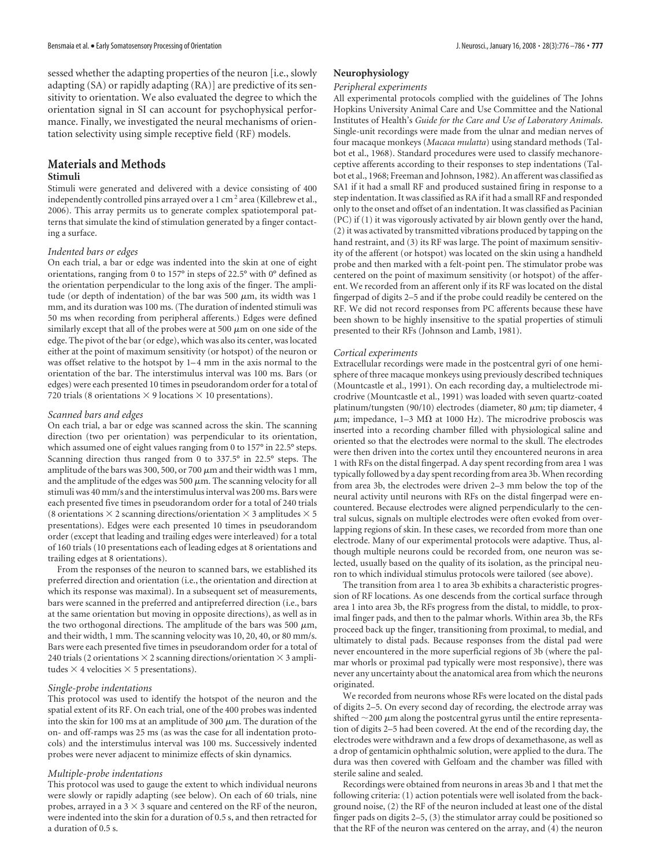sessed whether the adapting properties of the neuron [i.e., slowly adapting (SA) or rapidly adapting (RA)] are predictive of its sensitivity to orientation. We also evaluated the degree to which the orientation signal in SI can account for psychophysical performance. Finally, we investigated the neural mechanisms of orientation selectivity using simple receptive field (RF) models.

# **Materials and Methods Stimuli**

Stimuli were generated and delivered with a device consisting of 400 independently controlled pins arrayed over a 1 cm<sup>2</sup> area (Killebrew et al., 2006). This array permits us to generate complex spatiotemporal patterns that simulate the kind of stimulation generated by a finger contacting a surface.

#### *Indented bars or edges*

On each trial, a bar or edge was indented into the skin at one of eight orientations, ranging from 0 to 157° in steps of 22.5° with 0° defined as the orientation perpendicular to the long axis of the finger. The amplitude (or depth of indentation) of the bar was 500  $\mu$ m, its width was 1 mm, and its duration was 100 ms. (The duration of indented stimuli was 50 ms when recording from peripheral afferents.) Edges were defined similarly except that all of the probes were at 500  $\mu$ m on one side of the edge. The pivot of the bar (or edge), which was also its center, was located either at the point of maximum sensitivity (or hotspot) of the neuron or was offset relative to the hotspot by  $1-4$  mm in the axis normal to the orientation of the bar. The interstimulus interval was 100 ms. Bars (or edges) were each presented 10 times in pseudorandom order for a total of 720 trials (8 orientations  $\times$  9 locations  $\times$  10 presentations).

#### *Scanned bars and edges*

On each trial, a bar or edge was scanned across the skin. The scanning direction (two per orientation) was perpendicular to its orientation, which assumed one of eight values ranging from 0 to 157° in 22.5° steps. Scanning direction thus ranged from 0 to 337.5° in 22.5° steps. The amplitude of the bars was 300, 500, or 700  $\mu$ m and their width was 1 mm, and the amplitude of the edges was 500  $\mu$ m. The scanning velocity for all stimuli was 40 mm/s and the interstimulus interval was 200 ms. Bars were each presented five times in pseudorandom order for a total of 240 trials (8 orientations  $\times$  2 scanning directions/orientation  $\times$  3 amplitudes  $\times$  5 presentations). Edges were each presented 10 times in pseudorandom order (except that leading and trailing edges were interleaved) for a total of 160 trials (10 presentations each of leading edges at 8 orientations and trailing edges at 8 orientations).

From the responses of the neuron to scanned bars, we established its preferred direction and orientation (i.e., the orientation and direction at which its response was maximal). In a subsequent set of measurements, bars were scanned in the preferred and antipreferred direction (i.e., bars at the same orientation but moving in opposite directions), as well as in the two orthogonal directions. The amplitude of the bars was 500  $\mu$ m, and their width, 1 mm. The scanning velocity was 10, 20, 40, or 80 mm/s. Bars were each presented five times in pseudorandom order for a total of 240 trials (2 orientations  $\times$  2 scanning directions/orientation  $\times$  3 amplitudes  $\times$  4 velocities  $\times$  5 presentations).

#### *Single-probe indentations*

This protocol was used to identify the hotspot of the neuron and the spatial extent of its RF. On each trial, one of the 400 probes was indented into the skin for 100 ms at an amplitude of 300  $\mu$ m. The duration of the on- and off-ramps was 25 ms (as was the case for all indentation protocols) and the interstimulus interval was 100 ms. Successively indented probes were never adjacent to minimize effects of skin dynamics.

## *Multiple-probe indentations*

This protocol was used to gauge the extent to which individual neurons were slowly or rapidly adapting (see below). On each of 60 trials, nine probes, arrayed in a 3  $\times$  3 square and centered on the RF of the neuron, were indented into the skin for a duration of 0.5 s, and then retracted for a duration of 0.5 s.

# **Neurophysiology**

#### *Peripheral experiments*

All experimental protocols complied with the guidelines of The Johns Hopkins University Animal Care and Use Committee and the National Institutes of Health's *Guide for the Care and Use of Laboratory Animals*. Single-unit recordings were made from the ulnar and median nerves of four macaque monkeys (*Macaca mulatta*) using standard methods (Talbot et al., 1968). Standard procedures were used to classify mechanoreceptive afferents according to their responses to step indentations (Talbot et al., 1968; Freeman and Johnson, 1982). An afferent was classified as SA1 if it had a small RF and produced sustained firing in response to a step indentation. It was classified as RA if it had a small RF and responded only to the onset and offset of an indentation. It was classified as Pacinian (PC) if (1) it was vigorously activated by air blown gently over the hand, (2) it was activated by transmitted vibrations produced by tapping on the hand restraint, and (3) its RF was large. The point of maximum sensitivity of the afferent (or hotspot) was located on the skin using a handheld probe and then marked with a felt-point pen. The stimulator probe was centered on the point of maximum sensitivity (or hotspot) of the afferent. We recorded from an afferent only if its RF was located on the distal fingerpad of digits 2–5 and if the probe could readily be centered on the RF. We did not record responses from PC afferents because these have been shown to be highly insensitive to the spatial properties of stimuli presented to their RFs (Johnson and Lamb, 1981).

## *Cortical experiments*

Extracellular recordings were made in the postcentral gyri of one hemisphere of three macaque monkeys using previously described techniques (Mountcastle et al., 1991). On each recording day, a multielectrode microdrive (Mountcastle et al., 1991) was loaded with seven quartz-coated platinum/tungsten (90/10) electrodes (diameter, 80  $\mu$ m; tip diameter, 4  $\mu$ m; impedance, 1–3 M $\Omega$  at 1000 Hz). The microdrive proboscis was inserted into a recording chamber filled with physiological saline and oriented so that the electrodes were normal to the skull. The electrodes were then driven into the cortex until they encountered neurons in area 1 with RFs on the distal fingerpad. A day spent recording from area 1 was typically followed by a day spent recording from area 3b. When recording from area 3b, the electrodes were driven 2–3 mm below the top of the neural activity until neurons with RFs on the distal fingerpad were encountered. Because electrodes were aligned perpendicularly to the central sulcus, signals on multiple electrodes were often evoked from overlapping regions of skin. In these cases, we recorded from more than one electrode. Many of our experimental protocols were adaptive. Thus, although multiple neurons could be recorded from, one neuron was selected, usually based on the quality of its isolation, as the principal neuron to which individual stimulus protocols were tailored (see above).

The transition from area 1 to area 3b exhibits a characteristic progression of RF locations. As one descends from the cortical surface through area 1 into area 3b, the RFs progress from the distal, to middle, to proximal finger pads, and then to the palmar whorls. Within area 3b, the RFs proceed back up the finger, transitioning from proximal, to medial, and ultimately to distal pads. Because responses from the distal pad were never encountered in the more superficial regions of 3b (where the palmar whorls or proximal pad typically were most responsive), there was never any uncertainty about the anatomical area from which the neurons originated.

We recorded from neurons whose RFs were located on the distal pads of digits 2–5. On every second day of recording, the electrode array was shifted  $\sim$  200  $\mu$ m along the postcentral gyrus until the entire representation of digits 2–5 had been covered. At the end of the recording day, the electrodes were withdrawn and a few drops of dexamethasone, as well as a drop of gentamicin ophthalmic solution, were applied to the dura. The dura was then covered with Gelfoam and the chamber was filled with sterile saline and sealed.

Recordings were obtained from neurons in areas 3b and 1 that met the following criteria: (1) action potentials were well isolated from the background noise, (2) the RF of the neuron included at least one of the distal finger pads on digits 2–5, (3) the stimulator array could be positioned so that the RF of the neuron was centered on the array, and (4) the neuron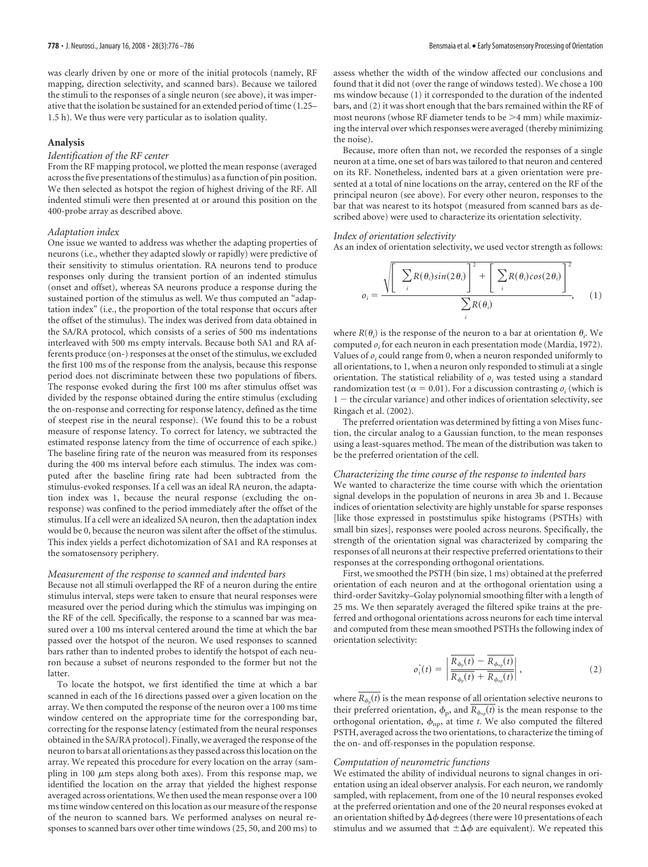was clearly driven by one or more of the initial protocols (namely, RF mapping, direction selectivity, and scanned bars). Because we tailored the stimuli to the responses of a single neuron (see above), it was imperative that the isolation be sustained for an extended period of time (1.25– 1.5 h). We thus were very particular as to isolation quality.

# **Analysis**

## *Identification of the RF center*

From the RF mapping protocol, we plotted the mean response (averaged across the five presentations of the stimulus) as a function of pin position. We then selected as hotspot the region of highest driving of the RF. All indented stimuli were then presented at or around this position on the 400-probe array as described above.

#### *Adaptation index*

One issue we wanted to address was whether the adapting properties of neurons (i.e., whether they adapted slowly or rapidly) were predictive of their sensitivity to stimulus orientation. RA neurons tend to produce responses only during the transient portion of an indented stimulus (onset and offset), whereas SA neurons produce a response during the sustained portion of the stimulus as well. We thus computed an "adaptation index" (i.e., the proportion of the total response that occurs after the offset of the stimulus). The index was derived from data obtained in the SA/RA protocol, which consists of a series of 500 ms indentations interleaved with 500 ms empty intervals. Because both SA1 and RA afferents produce (on-) responses at the onset of the stimulus, we excluded the first 100 ms of the response from the analysis, because this response period does not discriminate between these two populations of fibers. The response evoked during the first 100 ms after stimulus offset was divided by the response obtained during the entire stimulus (excluding the on-response and correcting for response latency, defined as the time of steepest rise in the neural response). (We found this to be a robust measure of response latency. To correct for latency, we subtracted the estimated response latency from the time of occurrence of each spike.) The baseline firing rate of the neuron was measured from its responses during the 400 ms interval before each stimulus. The index was computed after the baseline firing rate had been subtracted from the stimulus-evoked responses. If a cell was an ideal RA neuron, the adaptation index was 1, because the neural response (excluding the onresponse) was confined to the period immediately after the offset of the stimulus. If a cell were an idealized SA neuron, then the adaptation index would be 0, because the neuron was silent after the offset of the stimulus. This index yields a perfect dichotomization of SA1 and RA responses at the somatosensory periphery.

#### *Measurement of the response to scanned and indented bars*

Because not all stimuli overlapped the RF of a neuron during the entire stimulus interval, steps were taken to ensure that neural responses were measured over the period during which the stimulus was impinging on the RF of the cell. Specifically, the response to a scanned bar was measured over a 100 ms interval centered around the time at which the bar passed over the hotspot of the neuron. We used responses to scanned bars rather than to indented probes to identify the hotspot of each neuron because a subset of neurons responded to the former but not the latter.

To locate the hotspot, we first identified the time at which a bar scanned in each of the 16 directions passed over a given location on the array. We then computed the response of the neuron over a 100 ms time window centered on the appropriate time for the corresponding bar, correcting for the response latency (estimated from the neural responses obtained in the SA/RA protocol). Finally, we averaged the response of the neuron to bars at all orientations as they passed across this location on the array. We repeated this procedure for every location on the array (sampling in 100  $\mu$ m steps along both axes). From this response map, we identified the location on the array that yielded the highest response averaged across orientations. We then used the mean response over a 100 ms time window centered on this location as our measure of the response of the neuron to scanned bars. We performed analyses on neural responses to scanned bars over other time windows (25, 50, and 200 ms) to assess whether the width of the window affected our conclusions and found that it did not (over the range of windows tested). We chose a 100 ms window because (1) it corresponded to the duration of the indented bars, and (2) it was short enough that the bars remained within the RF of most neurons (whose RF diameter tends to be  $>4$  mm) while maximizing the interval over which responses were averaged (thereby minimizing the noise).

Because, more often than not, we recorded the responses of a single neuron at a time, one set of bars was tailored to that neuron and centered on its RF. Nonetheless, indented bars at a given orientation were presented at a total of nine locations on the array, centered on the RF of the principal neuron (see above). For every other neuron, responses to the bar that was nearest to its hotspot (measured from scanned bars as described above) were used to characterize its orientation selectivity.

#### *Index of orientation selectivity*

As an index of orientation selectivity, we used vector strength as follows:

$$
o_i = \frac{\sqrt{\left[\sum_i R(\theta_i)sin(2\theta_i)\right]^2 + \left[\sum_i R(\theta_i)cos(2\theta_i)\right]^2}}{\sum_i R(\theta_i)},
$$
 (1)

where  $R(\theta_i)$  is the response of the neuron to a bar at orientation  $\theta_i$ . We computed  $o_i$  for each neuron in each presentation mode (Mardia, 1972). Values of  $o_i$  could range from 0, when a neuron responded uniformly to all orientations, to 1, when a neuron only responded to stimuli at a single orientation. The statistical reliability of  $o_i$  was tested using a standard randomization test ( $\alpha = 0.01$ ). For a discussion contrasting  $o_i$  (which is  $1 -$  the circular variance) and other indices of orientation selectivity, see Ringach et al. (2002).

The preferred orientation was determined by fitting a von Mises function, the circular analog to a Gaussian function, to the mean responses using a least-squares method. The mean of the distribution was taken to be the preferred orientation of the cell.

#### *Characterizing the time course of the response to indented bars*

We wanted to characterize the time course with which the orientation signal develops in the population of neurons in area 3b and 1. Because indices of orientation selectivity are highly unstable for sparse responses [like those expressed in poststimulus spike histograms (PSTHs) with small bin sizes], responses were pooled across neurons. Specifically, the strength of the orientation signal was characterized by comparing the responses of all neurons at their respective preferred orientations to their responses at the corresponding orthogonal orientations.

First, we smoothed the PSTH (bin size, 1 ms) obtained at the preferred orientation of each neuron and at the orthogonal orientation using a third-order Savitzky–Golay polynomial smoothing filter with a length of 25 ms. We then separately averaged the filtered spike trains at the preferred and orthogonal orientations across neurons for each time interval and computed from these mean smoothed PSTHs the following index of orientation selectivity:

$$
\sigma_i^*(t) = \left| \frac{\overline{R_{\phi_p}(t)} - \overline{R_{\phi_{np}}(t)}}{\overline{R_{\phi_p}(t)} + \overline{R_{\phi_{np}}(t)}} \right|, \qquad (2)
$$

where  $R_{\phi_p}(t)$  is the mean response of all orientation selective neurons to their preferred orientation,  $\phi_p$ , and  $R_{\phi_{np}}(t)$  is the mean response to the orthogonal orientation,  $\phi_{\text{np}}$ , at time *t*. We also computed the filtered PSTH, averaged across the two orientations, to characterize the timing of the on- and off-responses in the population response.

#### *Computation of neurometric functions*

We estimated the ability of individual neurons to signal changes in orientation using an ideal observer analysis. For each neuron, we randomly sampled, with replacement, from one of the 10 neural responses evoked at the preferred orientation and one of the 20 neural responses evoked at an orientation shifted by  $\Delta \phi$  degrees (there were 10 presentations of each stimulus and we assumed that  $\pm \Delta \phi$  are equivalent). We repeated this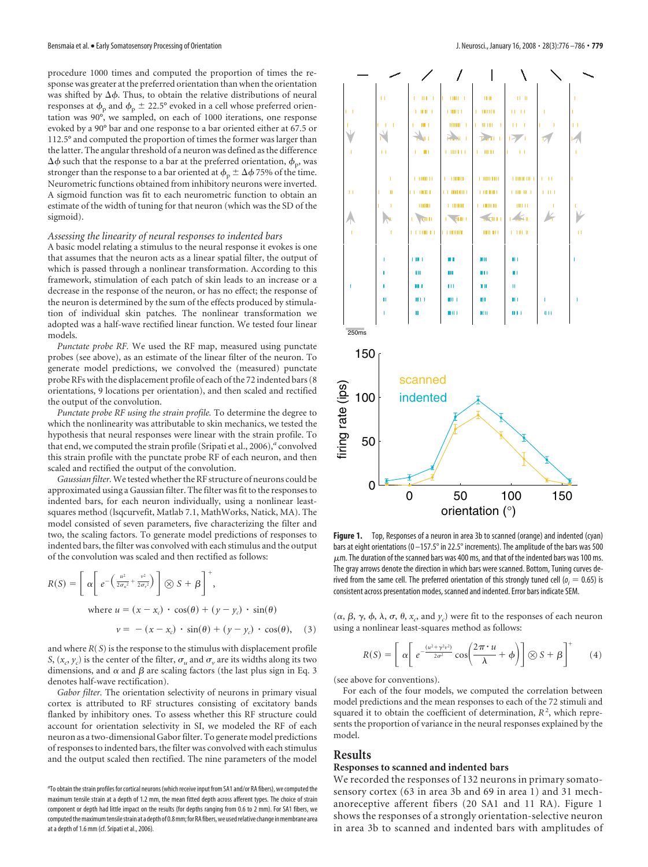procedure 1000 times and computed the proportion of times the response was greater at the preferred orientation than when the orientation was shifted by  $\Delta \phi$ . Thus, to obtain the relative distributions of neural responses at  $\phi_{\rm p}$  and  $\phi_{\rm p} \pm$  22.5° evoked in a cell whose preferred orientation was 90°, we sampled, on each of 1000 iterations, one response evoked by a 90° bar and one response to a bar oriented either at 67.5 or 112.5° and computed the proportion of times the former was larger than the latter. The angular threshold of a neuron was defined as the difference  $\Delta \phi$  such that the response to a bar at the preferred orientation,  $\phi_{\rm n}$ , was stronger than the response to a bar oriented at  $\phi_{\rm p} \pm \Delta \phi$  75% of the time. Neurometric functions obtained from inhibitory neurons were inverted. A sigmoid function was fit to each neurometric function to obtain an estimate of the width of tuning for that neuron (which was the SD of the sigmoid).

#### *Assessing the linearity of neural responses to indented bars*

A basic model relating a stimulus to the neural response it evokes is one that assumes that the neuron acts as a linear spatial filter, the output of which is passed through a nonlinear transformation. According to this framework, stimulation of each patch of skin leads to an increase or a decrease in the response of the neuron, or has no effect; the response of the neuron is determined by the sum of the effects produced by stimulation of individual skin patches. The nonlinear transformation we adopted was a half-wave rectified linear function. We tested four linear models.

*Punctate probe RF.* We used the RF map, measured using punctate probes (see above), as an estimate of the linear filter of the neuron. To generate model predictions, we convolved the (measured) punctate probe RFs with the displacement profile of each of the 72 indented bars (8 orientations, 9 locations per orientation), and then scaled and rectified the output of the convolution.

*Punctate probe RF using the strain profile.* To determine the degree to which the nonlinearity was attributable to skin mechanics, we tested the hypothesis that neural responses were linear with the strain profile. To that end, we computed the strain profile (Sripati et al., 2006),*<sup>a</sup>* convolved this strain profile with the punctate probe RF of each neuron, and then scaled and rectified the output of the convolution.

*Gaussian filter.*We tested whether the RF structure of neurons could be approximated using a Gaussian filter. The filter was fit to the responses to indented bars, for each neuron individually, using a nonlinear leastsquares method (lsqcurvefit, Matlab 7.1, MathWorks, Natick, MA). The model consisted of seven parameters, five characterizing the filter and two, the scaling factors. To generate model predictions of responses to indented bars, the filter was convolved with each stimulus and the output of the convolution was scaled and then rectified as follows:

$$
R(S) = \left[ \alpha \left[ e^{-\left(\frac{u^2}{2\sigma_u^2} + \frac{v^2}{2\sigma_v^2}\right)} \right] \otimes S + \beta \right]^+,
$$
  
where  $u = (x - x_c) \cdot \cos(\theta) + (y - y_c) \cdot \sin(\theta)$   

$$
v = -(x - x_c) \cdot \sin(\theta) + (y - y_c) \cdot \cos(\theta), \quad (3)
$$

and where *R*(*S*) is the response to the stimulus with displacement profile *S*,  $(x_c, y_c)$  is the center of the filter,  $\sigma_u$  and  $\sigma_v$  are its widths along its two dimensions, and  $\alpha$  and  $\beta$  are scaling factors (the last plus sign in Eq. 3 denotes half-wave rectification).

*Gabor filter.* The orientation selectivity of neurons in primary visual cortex is attributed to RF structures consisting of excitatory bands flanked by inhibitory ones. To assess whether this RF structure could account for orientation selectivity in SI, we modeled the RF of each neuron as a two-dimensional Gabor filter. To generate model predictions of responses to indented bars, the filter was convolved with each stimulus and the output scaled then rectified. The nine parameters of the model



Figure 1. Top, Responses of a neuron in area 3b to scanned (orange) and indented (cyan) bars at eight orientations (0 –157.5° in 22.5° increments). The amplitude of the bars was 500  $\mu$ m. The duration of the scanned bars was 400 ms, and that of the indented bars was 100 ms. The gray arrows denote the direction in which bars were scanned. Bottom, Tuning curves derived from the same cell. The preferred orientation of this strongly tuned cell ( $o<sub>i</sub> = 0.65$ ) is consistent across presentation modes, scanned and indented. Error bars indicate SEM.

orientation (°)

 $(\alpha, \beta, \gamma, \phi, \lambda, \sigma, \theta, x_c, \text{and } y_c)$  were fit to the responses of each neuron using a nonlinear least-squares method as follows:

$$
R(S) = \left[ \alpha \left[ e^{-\frac{(u^2 + \gamma^2 v^2)}{2\sigma^2}} \cos\left(\frac{2\pi \cdot u}{\lambda} + \phi\right) \right] \otimes S + \beta \right]^+ \tag{4}
$$

(see above for conventions).

For each of the four models, we computed the correlation between model predictions and the mean responses to each of the 72 stimuli and squared it to obtain the coefficient of determination,  $R^2$ , which represents the proportion of variance in the neural responses explained by the model.

# **Results**

#### **Responses to scanned and indented bars**

We recorded the responses of 132 neurons in primary somatosensory cortex (63 in area 3b and 69 in area 1) and 31 mechanoreceptive afferent fibers (20 SA1 and 11 RA). Figure 1 shows the responses of a strongly orientation-selective neuron in area 3b to scanned and indented bars with amplitudes of

<sup>&</sup>lt;sup>a</sup>To obtain the strain profiles for cortical neurons (which receive input from SA1 and/or RA fibers), we computed the maximum tensile strain at a depth of 1.2 mm, the mean fitted depth across afferent types. The choice of strain component or depth had little impact on the results (for depths ranging from 0.6 to 2 mm). For SA1 fibers, we computed the maximum tensile strain at a depth of 0.8 mm; for RA fibers, we used relative change in membrane area at a depth of 1.6 mm (cf. Sripati et al., 2006).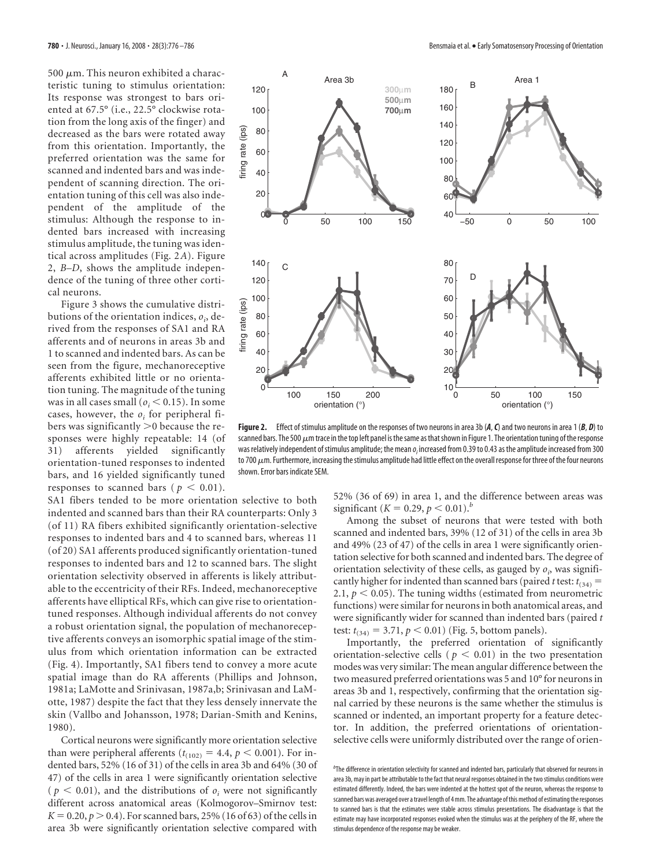500  $\mu$ m. This neuron exhibited a characteristic tuning to stimulus orientation: Its response was strongest to bars oriented at 67.5° (i.e., 22.5° clockwise rotation from the long axis of the finger) and decreased as the bars were rotated away from this orientation. Importantly, the preferred orientation was the same for scanned and indented bars and was independent of scanning direction. The orientation tuning of this cell was also independent of the amplitude of the stimulus: Although the response to indented bars increased with increasing stimulus amplitude, the tuning was identical across amplitudes (Fig. 2*A*). Figure 2, *B–D*, shows the amplitude independence of the tuning of three other cortical neurons.

Figure 3 shows the cumulative distributions of the orientation indices,  $o_i$ , derived from the responses of SA1 and RA afferents and of neurons in areas 3b and 1 to scanned and indented bars. As can be seen from the figure, mechanoreceptive afferents exhibited little or no orientation tuning. The magnitude of the tuning was in all cases small ( $o_i$  < 0.15). In some cases, however, the  $o_i$  for peripheral fibers was significantly  $>0$  because the responses were highly repeatable: 14 (of 31) afferents yielded significantly orientation-tuned responses to indented bars, and 16 yielded significantly tuned responses to scanned bars ( $p < 0.01$ ).

SA1 fibers tended to be more orientation selective to both indented and scanned bars than their RA counterparts: Only 3 (of 11) RA fibers exhibited significantly orientation-selective responses to indented bars and 4 to scanned bars, whereas 11 (of 20) SA1 afferents produced significantly orientation-tuned responses to indented bars and 12 to scanned bars. The slight orientation selectivity observed in afferents is likely attributable to the eccentricity of their RFs. Indeed, mechanoreceptive afferents have elliptical RFs, which can give rise to orientationtuned responses. Although individual afferents do not convey a robust orientation signal, the population of mechanoreceptive afferents conveys an isomorphic spatial image of the stimulus from which orientation information can be extracted (Fig. 4). Importantly, SA1 fibers tend to convey a more acute spatial image than do RA afferents (Phillips and Johnson, 1981a; LaMotte and Srinivasan, 1987a,b; Srinivasan and LaMotte, 1987) despite the fact that they less densely innervate the skin (Vallbo and Johansson, 1978; Darian-Smith and Kenins, 1980).

Cortical neurons were significantly more orientation selective than were peripheral afferents ( $t_{(102)} = 4.4$ ,  $p < 0.001$ ). For indented bars, 52% (16 of 31) of the cells in area 3b and 64% (30 of 47) of the cells in area 1 were significantly orientation selective ( $p < 0.01$ ), and the distributions of  $o_i$  were not significantly different across anatomical areas (Kolmogorov–Smirnov test:  $K = 0.20, p > 0.4$ ). For scanned bars, 25% (16 of 63) of the cells in area 3b were significantly orientation selective compared with



**Figure 2.** Effect of stimulus amplitude on the responses of two neurons in area 3b (*A*,*C*) and two neurons in area 1 (*B*, *D*) to scanned bars. The 500  $\mu$ m trace in the top left panel is the same as that shown in Figure 1. The orientation tuning of the response was relatively independent of stimulus amplitude; the mean *oi* increased from 0.39 to 0.43 as the amplitude increased from 300 to 700  $\mu$ m. Furthermore, increasing the stimulus amplitude had little effect on the overall response for three of the four neurons shown. Error bars indicate SEM.

52% (36 of 69) in area 1, and the difference between areas was significant ( $K = 0.29$ ,  $p < 0.01$ ).<sup>*b*</sup>

Among the subset of neurons that were tested with both scanned and indented bars, 39% (12 of 31) of the cells in area 3b and 49% (23 of 47) of the cells in area 1 were significantly orientation selective for both scanned and indented bars. The degree of orientation selectivity of these cells, as gauged by  $o_i$ , was significantly higher for indented than scanned bars (paired *t* test:  $t_{(34)}$  = 2.1,  $p < 0.05$ ). The tuning widths (estimated from neurometric functions) were similar for neurons in both anatomical areas, and were significantly wider for scanned than indented bars (paired *t* test:  $t_{(34)} = 3.71, p \le 0.01$ ) (Fig. 5, bottom panels).

Importantly, the preferred orientation of significantly orientation-selective cells ( $p < 0.01$ ) in the two presentation modes was very similar: The mean angular difference between the two measured preferred orientations was 5 and 10° for neurons in areas 3b and 1, respectively, confirming that the orientation signal carried by these neurons is the same whether the stimulus is scanned or indented, an important property for a feature detector. In addition, the preferred orientations of orientationselective cells were uniformly distributed over the range of orien-

*b* The difference in orientation selectivity for scanned and indented bars, particularly that observed for neurons in area 3b, may in part be attributable to the fact that neural responses obtained in the two stimulus conditions were estimated differently. Indeed, the bars were indented at the hottest spot of the neuron, whereas the response to scanned bars was averaged over a travel length of 4 mm. The advantage of this method of estimating the responses to scanned bars is that the estimates were stable across stimulus presentations. The disadvantage is that the estimate may have incorporated responses evoked when the stimulus was at the periphery of the RF, where the stimulus dependence of the response may be weaker.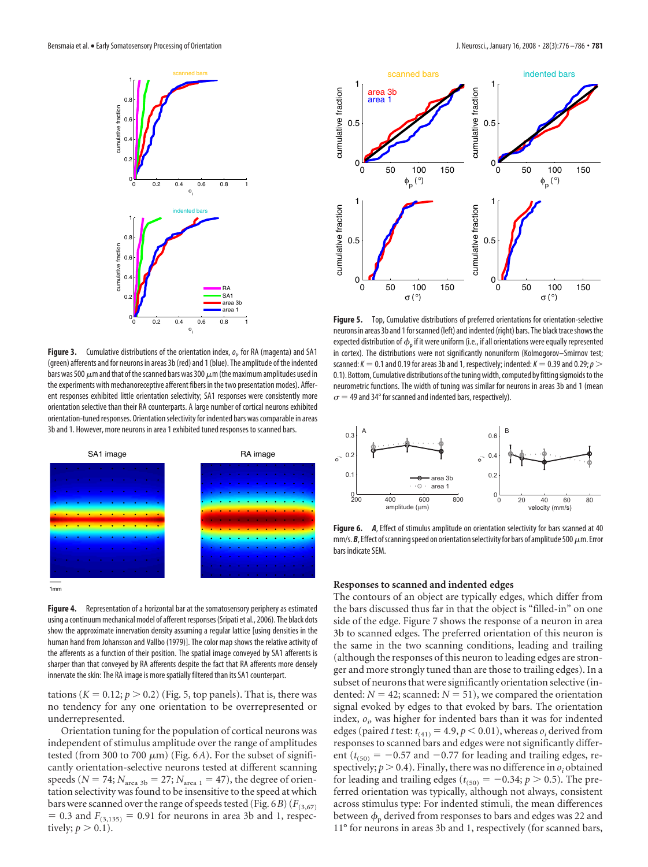

**Figure 3.** Cumulative distributions of the orientation index,  $o_i$ , for RA (magenta) and SA1 (green) afferents and for neurons in areas 3b (red) and 1 (blue). The amplitude of the indented bars was 500  $\mu$ m and that of the scanned bars was 300  $\mu$ m (the maximum amplitudes used in the experiments with mechanoreceptive afferent fibers in the two presentation modes). Afferent responses exhibited little orientation selectivity; SA1 responses were consistently more orientation selective than their RA counterparts. A large number of cortical neurons exhibited orientation-tuned responses. Orientation selectivity for indented bars was comparable in areas 3b and 1. However, more neurons in area 1 exhibited tuned responses to scanned bars.



**Figure 4.** Representation of a horizontal bar at the somatosensory periphery as estimated using a continuum mechanical model of afferent responses (Sripati et al., 2006). The black dots show the approximate innervation density assuming a regular lattice [using densities in the human hand from Johansson and Vallbo (1979)]. The color map shows the relative activity of the afferents as a function of their position. The spatial image conveyed by SA1 afferents is sharper than that conveyed by RA afferents despite the fact that RA afferents more densely innervate the skin: The RA image is more spatially filtered than its SA1 counterpart.

tations ( $K = 0.12$ ;  $p > 0.2$ ) (Fig. 5, top panels). That is, there was no tendency for any one orientation to be overrepresented or underrepresented.

Orientation tuning for the population of cortical neurons was independent of stimulus amplitude over the range of amplitudes tested (from 300 to 700  $\mu$ m) (Fig. 6A). For the subset of significantly orientation-selective neurons tested at different scanning speeds ( $N = 74$ ;  $N_{\text{area }3b} = 27$ ;  $N_{\text{area }1} = 47$ ), the degree of orientation selectivity was found to be insensitive to the speed at which bars were scanned over the range of speeds tested (Fig. 6*B*) ( $F_{(3,67)}$  $= 0.3$  and  $F_{(3,135)} = 0.91$  for neurons in area 3b and 1, respectively;  $p > 0.1$ ).



Figure 5. Top, Cumulative distributions of preferred orientations for orientation-selective neurons in areas 3b and 1 for scanned (left) and indented (right) bars. The black trace shows the expected distribution of  $\phi_n$  if it were uniform (i.e., if all orientations were equally represented in cortex). The distributions were not significantly nonuniform (Kolmogorov–Smirnov test; scanned:  $K = 0.1$  and 0.19 for areas 3b and 1, respectively; indented:  $K = 0.39$  and 0.29;  $p >$ 0.1). Bottom, Cumulative distributions of the tuning width, computed by fitting sigmoids to the neurometric functions. The width of tuning was similar for neurons in areas 3b and 1 (mean  $\sigma$  = 49 and 34° for scanned and indented bars, respectively).



**Figure 6.** *A*, Effect of stimulus amplitude on orientation selectivity for bars scanned at 40 mm/s. **B**, Effect of scanning speed on orientation selectivity for bars of amplitude 500  $\mu$ m. Error bars indicate SEM.

#### **Responses to scanned and indented edges**

The contours of an object are typically edges, which differ from the bars discussed thus far in that the object is "filled-in" on one side of the edge. Figure 7 shows the response of a neuron in area 3b to scanned edges. The preferred orientation of this neuron is the same in the two scanning conditions, leading and trailing (although the responses of this neuron to leading edges are stronger and more strongly tuned than are those to trailing edges). In a subset of neurons that were significantly orientation selective (indented:  $N = 42$ ; scanned:  $N = 51$ ), we compared the orientation signal evoked by edges to that evoked by bars. The orientation index,  $o_i$ , was higher for indented bars than it was for indented edges (paired *t* test:  $t_{(41)} = 4.9, p \le 0.01$ ), whereas  $o_i$  derived from responses to scanned bars and edges were not significantly different ( $t_{(50)} = -0.57$  and  $-0.77$  for leading and trailing edges, respectively;  $p > 0.4$ ). Finally, there was no difference in  $o_i$  obtained for leading and trailing edges ( $t_{(50)} = -0.34$ ;  $p > 0.5$ ). The preferred orientation was typically, although not always, consistent across stimulus type: For indented stimuli, the mean differences between  $\phi_p$  derived from responses to bars and edges was 22 and 11° for neurons in areas 3b and 1, respectively (for scanned bars,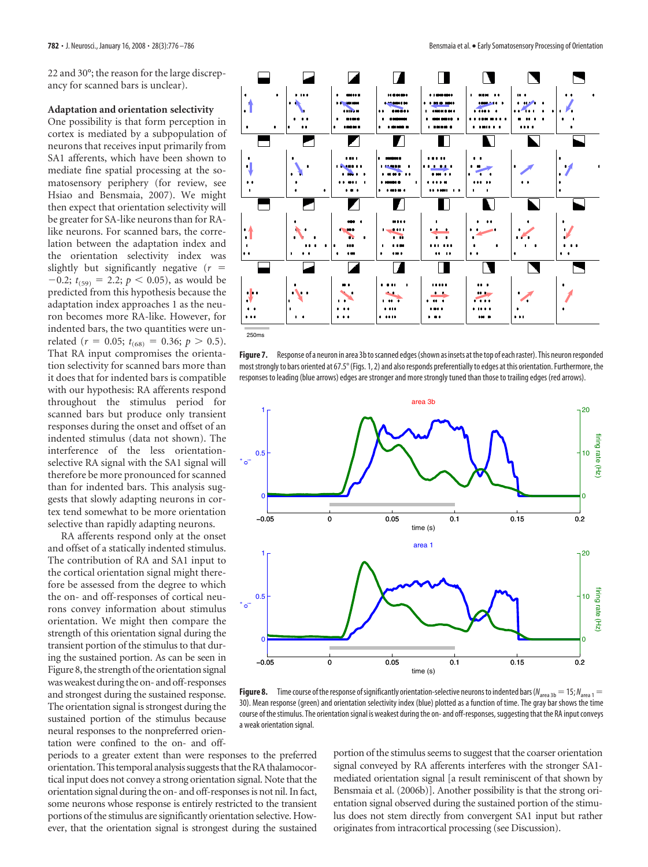22 and 30°; the reason for the large discrepancy for scanned bars is unclear).

#### **Adaptation and orientation selectivity**

One possibility is that form perception in cortex is mediated by a subpopulation of neurons that receives input primarily from SA1 afferents, which have been shown to mediate fine spatial processing at the somatosensory periphery (for review, see Hsiao and Bensmaia, 2007). We might then expect that orientation selectivity will be greater for SA-like neurons than for RAlike neurons. For scanned bars, the correlation between the adaptation index and the orientation selectivity index was slightly but significantly negative  $(r =$  $-0.2$ ;  $t_{(59)} = 2.2$ ;  $p < 0.05$ ), as would be predicted from this hypothesis because the adaptation index approaches 1 as the neuron becomes more RA-like. However, for indented bars, the two quantities were unrelated ( $r = 0.05$ ;  $t_{(68)} = 0.36$ ;  $p > 0.5$ ). That RA input compromises the orientation selectivity for scanned bars more than it does that for indented bars is compatible with our hypothesis: RA afferents respond throughout the stimulus period for scanned bars but produce only transient responses during the onset and offset of an indented stimulus (data not shown). The interference of the less orientationselective RA signal with the SA1 signal will therefore be more pronounced for scanned than for indented bars. This analysis suggests that slowly adapting neurons in cortex tend somewhat to be more orientation selective than rapidly adapting neurons.

RA afferents respond only at the onset and offset of a statically indented stimulus. The contribution of RA and SA1 input to the cortical orientation signal might therefore be assessed from the degree to which the on- and off-responses of cortical neurons convey information about stimulus orientation. We might then compare the strength of this orientation signal during the transient portion of the stimulus to that during the sustained portion. As can be seen in Figure 8, the strength of the orientation signal was weakest during the on- and off-responses and strongest during the sustained response. The orientation signal is strongest during the sustained portion of the stimulus because neural responses to the nonpreferred orientation were confined to the on- and off-



Figure 7. Response of a neuron in area 3b to scanned edges (shown as insets at the top of each raster). This neuron responded moststrongly to bars oriented at 67.5° (Figs. 1, 2) and also responds preferentially to edges at this orientation. Furthermore, the responses to leading (blue arrows) edges are stronger and more strongly tuned than those to trailing edges (red arrows).



**Figure 8.** Time course of the response of significantly orientation-selective neurons to indented bars ( $N_{area\,3b} = 15; N_{area\,1} = 1$ 30). Mean response (green) and orientation selectivity index (blue) plotted as a function of time. The gray bar shows the time course of the stimulus. The orientation signal is weakest during the on- and off-responses, suggesting that the RA input conveys a weak orientation signal.

periods to a greater extent than were responses to the preferred orientation. This temporal analysis suggests that the RA thalamocortical input does not convey a strong orientation signal. Note that the orientation signal during the on- and off-responses is not nil. In fact, some neurons whose response is entirely restricted to the transient portions of the stimulus are significantly orientation selective. However, that the orientation signal is strongest during the sustained portion of the stimulus seems to suggest that the coarser orientation signal conveyed by RA afferents interferes with the stronger SA1 mediated orientation signal [a result reminiscent of that shown by Bensmaia et al. (2006b)]. Another possibility is that the strong orientation signal observed during the sustained portion of the stimulus does not stem directly from convergent SA1 input but rather originates from intracortical processing (see Discussion).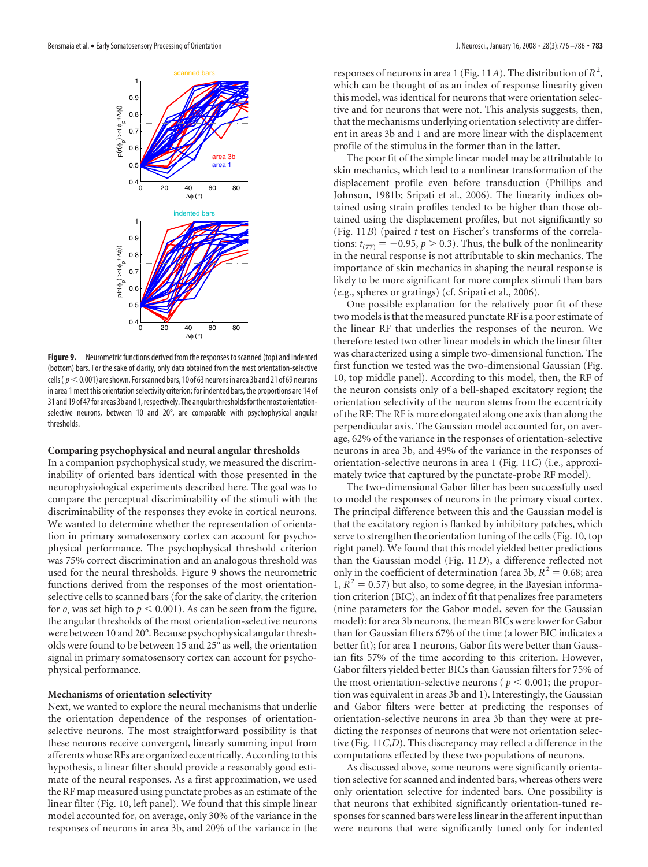

**Figure 9.** Neurometric functions derived from the responses to scanned (top) and indented (bottom) bars. For the sake of clarity, only data obtained from the most orientation-selective cells ( $p < 0.001$ ) are shown. For scanned bars, 10 of 63 neurons in area 3b and 21 of 69 neurons in area 1 meet this orientation selectivity criterion; for indented bars, the proportions are 14 of 31 and 19 of 47 for areas 3b and 1, respectively. The angular thresholds for the most orientationselective neurons, between 10 and 20°, are comparable with psychophysical angular thresholds.

#### **Comparing psychophysical and neural angular thresholds**

In a companion psychophysical study, we measured the discriminability of oriented bars identical with those presented in the neurophysiological experiments described here. The goal was to compare the perceptual discriminability of the stimuli with the discriminability of the responses they evoke in cortical neurons. We wanted to determine whether the representation of orientation in primary somatosensory cortex can account for psychophysical performance. The psychophysical threshold criterion was 75% correct discrimination and an analogous threshold was used for the neural thresholds. Figure 9 shows the neurometric functions derived from the responses of the most orientationselective cells to scanned bars (for the sake of clarity, the criterion for  $o_i$  was set high to  $p < 0.001$ ). As can be seen from the figure, the angular thresholds of the most orientation-selective neurons were between 10 and 20°. Because psychophysical angular thresholds were found to be between 15 and 25° as well, the orientation signal in primary somatosensory cortex can account for psychophysical performance.

# **Mechanisms of orientation selectivity**

Next, we wanted to explore the neural mechanisms that underlie the orientation dependence of the responses of orientationselective neurons. The most straightforward possibility is that these neurons receive convergent, linearly summing input from afferents whose RFs are organized eccentrically. According to this hypothesis, a linear filter should provide a reasonably good estimate of the neural responses. As a first approximation, we used the RF map measured using punctate probes as an estimate of the linear filter (Fig. 10, left panel). We found that this simple linear model accounted for, on average, only 30% of the variance in the responses of neurons in area 3b, and 20% of the variance in the

responses of neurons in area 1 (Fig. 11A). The distribution of  $R^2$ , which can be thought of as an index of response linearity given this model, was identical for neurons that were orientation selective and for neurons that were not. This analysis suggests, then, that the mechanisms underlying orientation selectivity are different in areas 3b and 1 and are more linear with the displacement profile of the stimulus in the former than in the latter.

The poor fit of the simple linear model may be attributable to skin mechanics, which lead to a nonlinear transformation of the displacement profile even before transduction (Phillips and Johnson, 1981b; Sripati et al., 2006). The linearity indices obtained using strain profiles tended to be higher than those obtained using the displacement profiles, but not significantly so (Fig. 11*B*) (paired *t* test on Fischer's transforms of the correlations:  $t_{(77)} = -0.95$ ,  $p > 0.3$ ). Thus, the bulk of the nonlinearity in the neural response is not attributable to skin mechanics. The importance of skin mechanics in shaping the neural response is likely to be more significant for more complex stimuli than bars (e.g., spheres or gratings) (cf. Sripati et al., 2006).

One possible explanation for the relatively poor fit of these two models is that the measured punctate RF is a poor estimate of the linear RF that underlies the responses of the neuron. We therefore tested two other linear models in which the linear filter was characterized using a simple two-dimensional function. The first function we tested was the two-dimensional Gaussian (Fig. 10, top middle panel). According to this model, then, the RF of the neuron consists only of a bell-shaped excitatory region; the orientation selectivity of the neuron stems from the eccentricity of the RF: The RF is more elongated along one axis than along the perpendicular axis. The Gaussian model accounted for, on average, 62% of the variance in the responses of orientation-selective neurons in area 3b, and 49% of the variance in the responses of orientation-selective neurons in area 1 (Fig. 11*C*) (i.e., approximately twice that captured by the punctate-probe RF model).

The two-dimensional Gabor filter has been successfully used to model the responses of neurons in the primary visual cortex. The principal difference between this and the Gaussian model is that the excitatory region is flanked by inhibitory patches, which serve to strengthen the orientation tuning of the cells (Fig. 10, top right panel). We found that this model yielded better predictions than the Gaussian model (Fig. 11*D*), a difference reflected not only in the coefficient of determination (area 3b,  $R^2 = 0.68$ ; area 1,  $R^2 = 0.57$ ) but also, to some degree, in the Bayesian information criterion (BIC), an index of fit that penalizes free parameters (nine parameters for the Gabor model, seven for the Gaussian model): for area 3b neurons, the mean BICs were lower for Gabor than for Gaussian filters 67% of the time (a lower BIC indicates a better fit); for area 1 neurons, Gabor fits were better than Gaussian fits 57% of the time according to this criterion. However, Gabor filters yielded better BICs than Gaussian filters for 75% of the most orientation-selective neurons ( $p < 0.001$ ; the proportion was equivalent in areas 3b and 1). Interestingly, the Gaussian and Gabor filters were better at predicting the responses of orientation-selective neurons in area 3b than they were at predicting the responses of neurons that were not orientation selective (Fig. 11*C*,*D*). This discrepancy may reflect a difference in the computations effected by these two populations of neurons.

As discussed above, some neurons were significantly orientation selective for scanned and indented bars, whereas others were only orientation selective for indented bars. One possibility is that neurons that exhibited significantly orientation-tuned responses for scanned bars were less linear in the afferent input than were neurons that were significantly tuned only for indented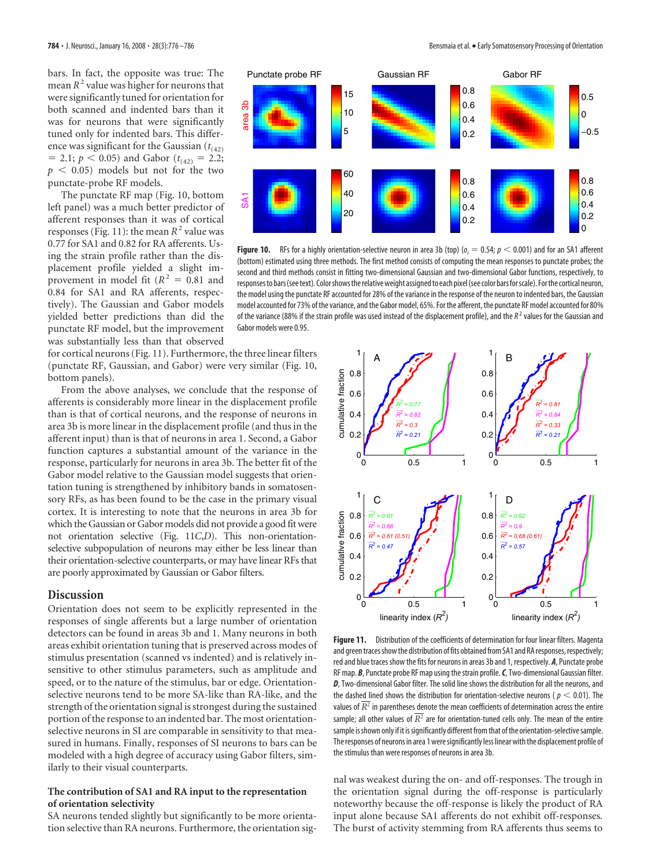bars. In fact, the opposite was true: The mean  $R^2$  value was higher for neurons that were significantly tuned for orientation for both scanned and indented bars than it was for neurons that were significantly tuned only for indented bars. This difference was significant for the Gaussian  $(t_{(42)})$  $= 2.1; p \le 0.05$ ) and Gabor ( $t_{(42)} = 2.2;$  $p < 0.05$ ) models but not for the two punctate-probe RF models.

The punctate RF map (Fig. 10, bottom left panel) was a much better predictor of afferent responses than it was of cortical responses (Fig. 11): the mean  $R^2$  value was 0.77 for SA1 and 0.82 for RA afferents. Using the strain profile rather than the displacement profile yielded a slight improvement in model fit  $(R^2 = 0.81$  and 0.84 for SA1 and RA afferents, respectively). The Gaussian and Gabor models yielded better predictions than did the punctate RF model, but the improvement was substantially less than that observed

for cortical neurons (Fig. 11). Furthermore, the three linear filters (punctate RF, Gaussian, and Gabor) were very similar (Fig. 10, bottom panels).

From the above analyses, we conclude that the response of afferents is considerably more linear in the displacement profile than is that of cortical neurons, and the response of neurons in area 3b is more linear in the displacement profile (and thus in the afferent input) than is that of neurons in area 1. Second, a Gabor function captures a substantial amount of the variance in the response, particularly for neurons in area 3b. The better fit of the Gabor model relative to the Gaussian model suggests that orientation tuning is strengthened by inhibitory bands in somatosensory RFs, as has been found to be the case in the primary visual cortex. It is interesting to note that the neurons in area 3b for which the Gaussian or Gabor models did not provide a good fit were not orientation selective (Fig. 11*C*,*D*). This non-orientationselective subpopulation of neurons may either be less linear than their orientation-selective counterparts, or may have linear RFs that are poorly approximated by Gaussian or Gabor filters.

# **Discussion**

Orientation does not seem to be explicitly represented in the responses of single afferents but a large number of orientation detectors can be found in areas 3b and 1. Many neurons in both areas exhibit orientation tuning that is preserved across modes of stimulus presentation (scanned vs indented) and is relatively insensitive to other stimulus parameters, such as amplitude and speed, or to the nature of the stimulus, bar or edge. Orientationselective neurons tend to be more SA-like than RA-like, and the strength of the orientation signal is strongest during the sustained portion of the response to an indented bar. The most orientationselective neurons in SI are comparable in sensitivity to that measured in humans. Finally, responses of SI neurons to bars can be modeled with a high degree of accuracy using Gabor filters, similarly to their visual counterparts.

# **The contribution of SA1 and RA input to the representation of orientation selectivity**

SA neurons tended slightly but significantly to be more orientation selective than RA neurons. Furthermore, the orientation sig-



**Figure 10.** RFs for a highly orientation-selective neuron in area 3b (top) ( $o_i = 0.54$ ;  $p < 0.001$ ) and for an SA1 afferent (bottom) estimated using three methods. The first method consists of computing the mean responses to punctate probes; the second and third methods consist in fitting two-dimensional Gaussian and two-dimensional Gabor functions, respectively, to responses to bars (see text). Color shows the relative weight assigned to each pixel (see color bars for scale). For the cortical neuron, the model using the punctate RF accounted for 28% of the variance in the response of the neuron to indented bars, the Gaussian model accounted for 73% of the variance, and the Gabor model, 65%. For the afferent, the punctate RF model accounted for 80% of the variance (88% if the strain profile was used instead of the displacement profile), and the R<sup>2</sup> values for the Gaussian and Gabor models were 0.95.



Figure 11. Distribution of the coefficients of determination for four linear filters. Magenta and green traces show the distribution of fits obtained from SA1 and RA responses, respectively; red and blue traces show the fits for neurons in areas 3b and 1, respectively. *A*, Punctate probe RF map. *B*, Punctate probe RF map using the strain profile.*C*, Two-dimensional Gaussian filter. D, Two-dimensional Gabor filter. The solid line shows the distribution for all the neurons, and the dashed lined shows the distribution for orientation-selective neurons ( $p < 0.01$ ). The values of  $\overline{R^2}$  in parentheses denote the mean coefficients of determination across the entire sample; all other values of  $\overline{R^2}$  are for orientation-tuned cells only. The mean of the entire sample is shown only if it is significantly different from that of the orientation-selective sample. The responses of neurons in area 1 were significantly less linear with the displacement profile of the stimulus than were responses of neurons in area 3b.

nal was weakest during the on- and off-responses. The trough in the orientation signal during the off-response is particularly noteworthy because the off-response is likely the product of RA input alone because SA1 afferents do not exhibit off-responses. The burst of activity stemming from RA afferents thus seems to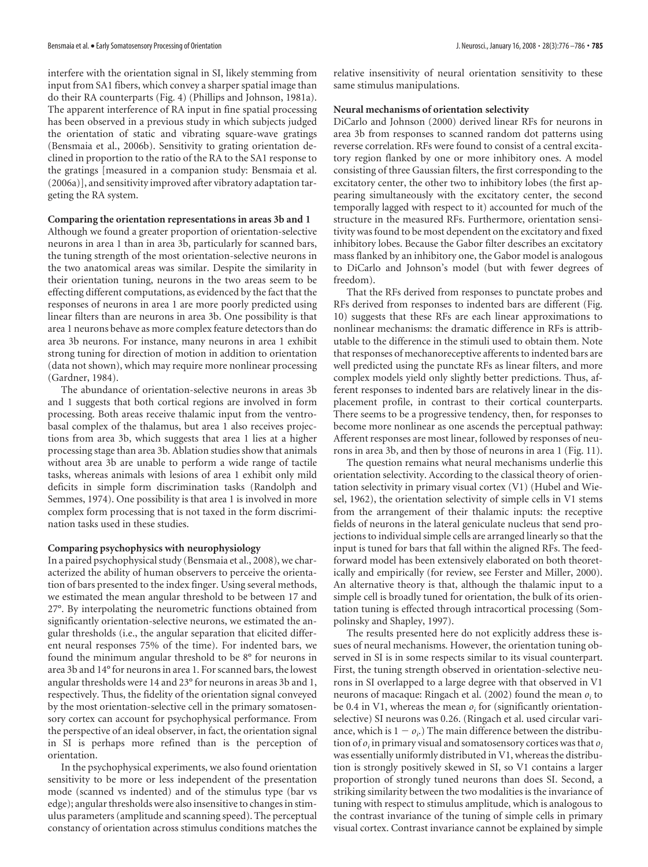interfere with the orientation signal in SI, likely stemming from input from SA1 fibers, which convey a sharper spatial image than do their RA counterparts (Fig. 4) (Phillips and Johnson, 1981a). The apparent interference of RA input in fine spatial processing has been observed in a previous study in which subjects judged the orientation of static and vibrating square-wave gratings (Bensmaia et al., 2006b). Sensitivity to grating orientation declined in proportion to the ratio of the RA to the SA1 response to the gratings [measured in a companion study: Bensmaia et al. (2006a)], and sensitivity improved after vibratory adaptation targeting the RA system.

#### **Comparing the orientation representations in areas 3b and 1**

Although we found a greater proportion of orientation-selective neurons in area 1 than in area 3b, particularly for scanned bars, the tuning strength of the most orientation-selective neurons in the two anatomical areas was similar. Despite the similarity in their orientation tuning, neurons in the two areas seem to be effecting different computations, as evidenced by the fact that the responses of neurons in area 1 are more poorly predicted using linear filters than are neurons in area 3b. One possibility is that area 1 neurons behave as more complex feature detectors than do area 3b neurons. For instance, many neurons in area 1 exhibit strong tuning for direction of motion in addition to orientation (data not shown), which may require more nonlinear processing (Gardner, 1984).

The abundance of orientation-selective neurons in areas 3b and 1 suggests that both cortical regions are involved in form processing. Both areas receive thalamic input from the ventrobasal complex of the thalamus, but area 1 also receives projections from area 3b, which suggests that area 1 lies at a higher processing stage than area 3b. Ablation studies show that animals without area 3b are unable to perform a wide range of tactile tasks, whereas animals with lesions of area 1 exhibit only mild deficits in simple form discrimination tasks (Randolph and Semmes, 1974). One possibility is that area 1 is involved in more complex form processing that is not taxed in the form discrimination tasks used in these studies.

#### **Comparing psychophysics with neurophysiology**

In a paired psychophysical study (Bensmaia et al., 2008), we characterized the ability of human observers to perceive the orientation of bars presented to the index finger. Using several methods, we estimated the mean angular threshold to be between 17 and 27°. By interpolating the neurometric functions obtained from significantly orientation-selective neurons, we estimated the angular thresholds (i.e., the angular separation that elicited different neural responses 75% of the time). For indented bars, we found the minimum angular threshold to be 8° for neurons in area 3b and 14° for neurons in area 1. For scanned bars, the lowest angular thresholds were 14 and 23° for neurons in areas 3b and 1, respectively. Thus, the fidelity of the orientation signal conveyed by the most orientation-selective cell in the primary somatosensory cortex can account for psychophysical performance. From the perspective of an ideal observer, in fact, the orientation signal in SI is perhaps more refined than is the perception of orientation.

In the psychophysical experiments, we also found orientation sensitivity to be more or less independent of the presentation mode (scanned vs indented) and of the stimulus type (bar vs edge); angular thresholds were also insensitive to changes in stimulus parameters (amplitude and scanning speed). The perceptual constancy of orientation across stimulus conditions matches the

relative insensitivity of neural orientation sensitivity to these same stimulus manipulations.

#### **Neural mechanisms of orientation selectivity**

DiCarlo and Johnson (2000) derived linear RFs for neurons in area 3b from responses to scanned random dot patterns using reverse correlation. RFs were found to consist of a central excitatory region flanked by one or more inhibitory ones. A model consisting of three Gaussian filters, the first corresponding to the excitatory center, the other two to inhibitory lobes (the first appearing simultaneously with the excitatory center, the second temporally lagged with respect to it) accounted for much of the structure in the measured RFs. Furthermore, orientation sensitivity was found to be most dependent on the excitatory and fixed inhibitory lobes. Because the Gabor filter describes an excitatory mass flanked by an inhibitory one, the Gabor model is analogous to DiCarlo and Johnson's model (but with fewer degrees of freedom).

That the RFs derived from responses to punctate probes and RFs derived from responses to indented bars are different (Fig. 10) suggests that these RFs are each linear approximations to nonlinear mechanisms: the dramatic difference in RFs is attributable to the difference in the stimuli used to obtain them. Note that responses of mechanoreceptive afferents to indented bars are well predicted using the punctate RFs as linear filters, and more complex models yield only slightly better predictions. Thus, afferent responses to indented bars are relatively linear in the displacement profile, in contrast to their cortical counterparts. There seems to be a progressive tendency, then, for responses to become more nonlinear as one ascends the perceptual pathway: Afferent responses are most linear, followed by responses of neurons in area 3b, and then by those of neurons in area 1 (Fig. 11).

The question remains what neural mechanisms underlie this orientation selectivity. According to the classical theory of orientation selectivity in primary visual cortex (V1) (Hubel and Wiesel, 1962), the orientation selectivity of simple cells in V1 stems from the arrangement of their thalamic inputs: the receptive fields of neurons in the lateral geniculate nucleus that send projections to individual simple cells are arranged linearly so that the input is tuned for bars that fall within the aligned RFs. The feedforward model has been extensively elaborated on both theoretically and empirically (for review, see Ferster and Miller, 2000). An alternative theory is that, although the thalamic input to a simple cell is broadly tuned for orientation, the bulk of its orientation tuning is effected through intracortical processing (Sompolinsky and Shapley, 1997).

The results presented here do not explicitly address these issues of neural mechanisms. However, the orientation tuning observed in SI is in some respects similar to its visual counterpart. First, the tuning strength observed in orientation-selective neurons in SI overlapped to a large degree with that observed in V1 neurons of macaque: Ringach et al. (2002) found the mean  $o_i$  to be 0.4 in V1, whereas the mean  $o_i$  for (significantly orientationselective) SI neurons was 0.26. (Ringach et al. used circular variance, which is  $1 - o_i$ .) The main difference between the distribution of  $o_i$  in primary visual and somatosensory cortices was that  $o_i$ was essentially uniformly distributed in V1, whereas the distribution is strongly positively skewed in SI, so V1 contains a larger proportion of strongly tuned neurons than does SI. Second, a striking similarity between the two modalities is the invariance of tuning with respect to stimulus amplitude, which is analogous to the contrast invariance of the tuning of simple cells in primary visual cortex. Contrast invariance cannot be explained by simple